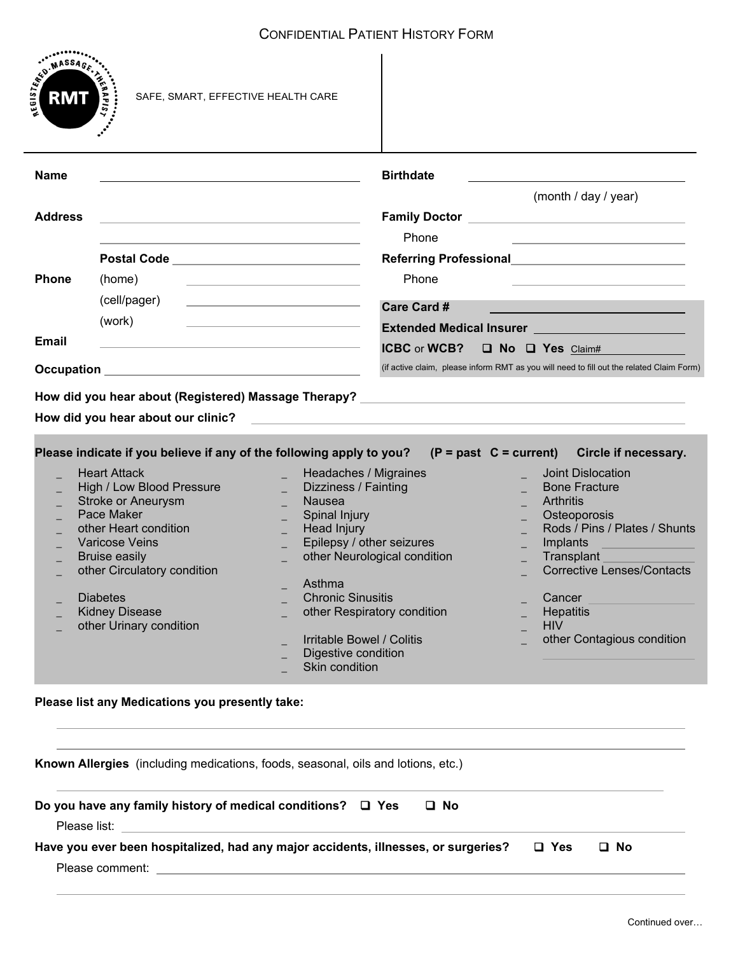

 $\overline{a}$ 

| <b>Name</b>                                                                                                                                                                                                                                                                                                                                  | <b>Birthdate</b>                                                                                                                                                                                                                                                                                                                                                                                                                       |                                                                                                                                                                                                                                                                                                                    |  |
|----------------------------------------------------------------------------------------------------------------------------------------------------------------------------------------------------------------------------------------------------------------------------------------------------------------------------------------------|----------------------------------------------------------------------------------------------------------------------------------------------------------------------------------------------------------------------------------------------------------------------------------------------------------------------------------------------------------------------------------------------------------------------------------------|--------------------------------------------------------------------------------------------------------------------------------------------------------------------------------------------------------------------------------------------------------------------------------------------------------------------|--|
|                                                                                                                                                                                                                                                                                                                                              |                                                                                                                                                                                                                                                                                                                                                                                                                                        | (month / day / year)                                                                                                                                                                                                                                                                                               |  |
| <b>Address</b><br><u> 1980 - Johann Barbara, martxa alemaniar argumento estas alemaniar alemaniar alemaniar alemaniar alemaniar a</u>                                                                                                                                                                                                        |                                                                                                                                                                                                                                                                                                                                                                                                                                        |                                                                                                                                                                                                                                                                                                                    |  |
|                                                                                                                                                                                                                                                                                                                                              | Phone                                                                                                                                                                                                                                                                                                                                                                                                                                  | the control of the control of the control of the control of the control of                                                                                                                                                                                                                                         |  |
| Postal Code _________________________________                                                                                                                                                                                                                                                                                                |                                                                                                                                                                                                                                                                                                                                                                                                                                        | Referring Professional <b>National Section Act 2014</b>                                                                                                                                                                                                                                                            |  |
| <b>Phone</b><br>(home)                                                                                                                                                                                                                                                                                                                       | Phone<br><u> 1989 - Johann Barbara, martxa al III-lea (h. 1974).</u>                                                                                                                                                                                                                                                                                                                                                                   |                                                                                                                                                                                                                                                                                                                    |  |
| (cell/pager)                                                                                                                                                                                                                                                                                                                                 | the control of the control of the control of the control of the control of                                                                                                                                                                                                                                                                                                                                                             |                                                                                                                                                                                                                                                                                                                    |  |
| (work)                                                                                                                                                                                                                                                                                                                                       | <b>Care Card #</b><br>the control of the control of the control of the control of the control of                                                                                                                                                                                                                                                                                                                                       |                                                                                                                                                                                                                                                                                                                    |  |
| <b>Email</b>                                                                                                                                                                                                                                                                                                                                 |                                                                                                                                                                                                                                                                                                                                                                                                                                        | Extended Medical Insurer and the control of the control of the control of the control of the control of the control of the control of the control of the control of the control of the control of the control of the control o                                                                                     |  |
| <b>ICBC</b> or <b>WCB?</b><br><b>Q</b> No Q Yes Claim#                                                                                                                                                                                                                                                                                       |                                                                                                                                                                                                                                                                                                                                                                                                                                        |                                                                                                                                                                                                                                                                                                                    |  |
| (if active claim, please inform RMT as you will need to fill out the related Claim Form)                                                                                                                                                                                                                                                     |                                                                                                                                                                                                                                                                                                                                                                                                                                        |                                                                                                                                                                                                                                                                                                                    |  |
|                                                                                                                                                                                                                                                                                                                                              |                                                                                                                                                                                                                                                                                                                                                                                                                                        |                                                                                                                                                                                                                                                                                                                    |  |
| How did you hear about our clinic?                                                                                                                                                                                                                                                                                                           | $\label{eq:2.1} \frac{1}{\sqrt{2\pi}}\frac{1}{\sqrt{2\pi}}\left(\frac{1}{\sqrt{2\pi}}\left(\frac{1}{\sqrt{2\pi}}\right)^2\right)^{1/2}\left(\frac{1}{\sqrt{2\pi}}\left(\frac{1}{\sqrt{2\pi}}\right)^2\right)^{1/2}\left(\frac{1}{\sqrt{2\pi}}\right)^{1/2}\left(\frac{1}{\sqrt{2\pi}}\right)^{1/2}\left(\frac{1}{\sqrt{2\pi}}\right)^{1/2}\left(\frac{1}{\sqrt{2\pi}}\right)^{1/2}\left(\frac{1}{\sqrt{2\pi}}\right)^{1/2}\left(\frac$ |                                                                                                                                                                                                                                                                                                                    |  |
| Please indicate if you believe if any of the following apply to you?<br><b>Heart Attack</b><br>High / Low Blood Pressure<br>Stroke or Aneurysm<br>Pace Maker<br>other Heart condition<br><b>Varicose Veins</b><br><b>Bruise easily</b><br>other Circulatory condition<br><b>Diabetes</b><br><b>Kidney Disease</b><br>other Urinary condition | Headaches / Migraines<br>Dizziness / Fainting<br><b>Nausea</b><br>Spinal Injury<br>Head Injury<br>Epilepsy / other seizures<br>other Neurological condition<br>Asthma<br><b>Chronic Sinusitis</b><br>other Respiratory condition<br>Irritable Bowel / Colitis<br>Digestive condition<br>Skin condition                                                                                                                                 | $(P = past C = current)$<br>Circle if necessary.<br><b>Joint Dislocation</b><br><b>Bone Fracture</b><br><b>Arthritis</b><br>Osteoporosis<br>Rods / Pins / Plates / Shunts<br>Implants<br>Transplant<br><b>Corrective Lenses/Contacts</b><br>Cancer<br><b>Hepatitis</b><br><b>HIV</b><br>other Contagious condition |  |
| Please list any Medications you presently take:                                                                                                                                                                                                                                                                                              |                                                                                                                                                                                                                                                                                                                                                                                                                                        |                                                                                                                                                                                                                                                                                                                    |  |
| Known Allergies (including medications, foods, seasonal, oils and lotions, etc.)                                                                                                                                                                                                                                                             |                                                                                                                                                                                                                                                                                                                                                                                                                                        |                                                                                                                                                                                                                                                                                                                    |  |

| Do you have any family history of medical conditions? $\Box$ Yes<br>□ No           |        |      |  |
|------------------------------------------------------------------------------------|--------|------|--|
| Please list:                                                                       |        |      |  |
| Have you ever been hospitalized, had any major accidents, illnesses, or surgeries? | DI Yes | □ No |  |
|                                                                                    |        |      |  |